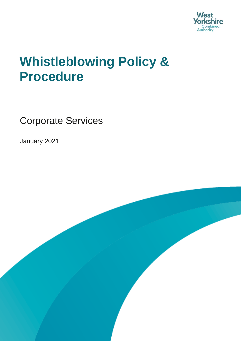

## **Whistleblowing Policy & Procedure**

Corporate Services

January 2021

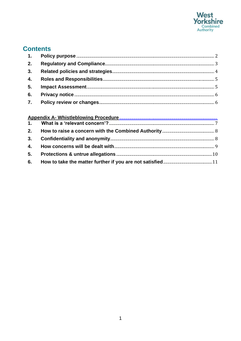

### **Contents**

| 2. |  |
|----|--|
|    |  |
|    |  |
| 5. |  |
|    |  |
|    |  |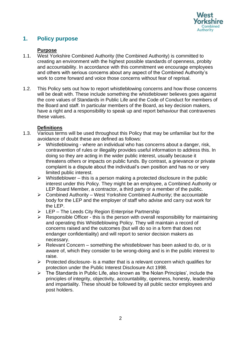

#### <span id="page-2-0"></span>**1. Policy purpose**

#### **Purpose**

- creating an environment with the highest possible standards of openness, probity 1.1. West Yorkshire Combined Authority (the Combined Authority) is committed to and accountability. In accordance with this commitment we encourage employees and others with serious concerns about any aspect of the Combined Authority's work to come forward and voice those concerns without fear of reprisal.
- 1.2. This Policy sets out how to report whistleblowing concerns and how those concerns will be dealt with. These include something the whistleblower believes goes against the core values of Standards in Public Life and the Code of Conduct for members of the Board and staff. In particular members of the Board, as key decision makers, have a right and a responsibility to speak up and report behaviour that contravenes these values.

#### **Definitions**

- 1.3. Various terms will be used throughout this Policy that may be unfamiliar but for the avoidance of doubt these are defined as follows:
	- contravention of rules or illegality provides useful information to address this. In  $\triangleright$  Whistleblowing - where an individual who has concerns about a danger, risk, doing so they are acting in the wider public interest, usually because it threatens others or impacts on public funds. By contrast, a grievance or private complaint is a dispute about the individual's own position and has no or very limited public interest.
	- $\triangleright$  Whistleblower this is a person making a protected disclosure in the public interest under this Policy. They might be an employee, a Combined Authority or LEP Board Member, a contractor, a third party or a member of the public.
	- the LEP.  $\triangleright$  Combined Authority – West Yorkshire Combined Authority; the accountable body for the LEP and the employer of staff who advise and carry out work for
	- ➢ LEP The Leeds City Region Enterprise Partnership
	- $\triangleright$  Responsible Officer this is the person with overall responsibility for maintaining and operating this Whistleblowing Policy. They will maintain a record of concerns raised and the outcomes (but will do so in a form that does not endanger confidentiality) and will report to senior decision makers as necessary.
	- $\triangleright$  Relevant Concern something the whistleblower has been asked to do, or is aware of, which they consider to be wrong-doing and is in the public interest to raise.
	- $\triangleright$  Protected disclosure- is a matter that is a relevant concern which qualifies for protection under the Public Interest Disclosure Act 1998.
	- ➢ The Standards in Public Life, also known as 'the Nolan Principles', include the principles of integrity, objectivity, accountability, openness, honesty, leadership and impartiality. These should be followed by all public sector employees and post holders.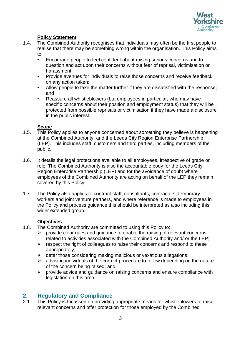

#### **Policy Statement**

- 1.4. The Combined Authority recognises that individuals may often be the first people to realise that there may be something wrong within the organisation. This Policy aims to:
	- question and act upon their concerns without fear of reprisal, victimisation or • Encourage people to feel confident about raising serious concerns and to harassment;
	- Provide avenues for individuals to raise those concerns and receive feedback on any action taken;
	- Allow people to take the matter further if they are dissatisfied with the response; and
	- Reassure all whistleblowers (but employees in particular, who may have specific concerns about their position and employment status) that they will be protected from possible reprisals or victimisation if they have made a disclosure in the public interest.

#### **Scope**

- 1.5. This Policy applies to anyone concerned about something they believe is happening at the Combined Authority, and the Leeds City Region Enterprise Partnership (LEP). This includes staff, customers and third parties, including members of the public.
- 1.6. It details the legal protections available to all employees, irrespective of grade or role. The Combined Authority is also the accountable body for the Leeds City Region Enterprise Partnership (LEP) and for the avoidance of doubt where employees of the Combined Authority are acting on behalf of the LEP they remain covered by this Policy.
- workers and joint venture partners, and where reference is made to employees in 1.7. The Policy also applies to contract staff, consultants, contractors, temporary the Policy and process guidance this should be interpreted as also including this wider extended group.

#### **Objectives**

- 1.8. The Combined Authority are committed to using this Policy to:
	- $\triangleright$  provide clear rules and guidance to enable the raising of relevant concerns related to activities associated with the Combined Authority and/ or the LEP;
	- $\triangleright$  respect the right of colleagues to raise their concerns and respond to these appropriately;
	- $\triangleright$  deter those considering making malicious or vexatious allegations;
	- $\triangleright$  advising individuals of the correct procedure to follow depending on the nature of the concern being raised; and
	- ➢ provide advice and guidance on raising concerns and ensure compliance with legislation on this area.

#### <span id="page-3-0"></span>**2. Regulatory and Compliance**

2.1. This Policy is focussed on providing appropriate means for whistleblowers to raise relevant concerns and offer protection for those employed by the Combined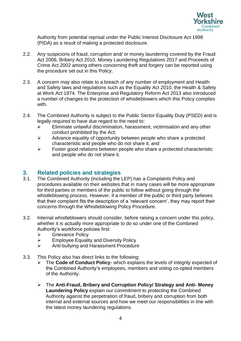

Authority from potential reprisal under the Public Interest Disclosure Act 1998 (PIDA) as a result of making a protected disclosure.

- 2.2. Any suspicions of fraud, corruption and/ or money laundering covered by the Fraud Act 2006, Bribery Act 2010, Money Laundering Regulations 2017 and Proceeds of Crime Act 2002 among others concerning theft and forgery can be reported using the procedure set out in this Policy.
- at Work Act 1974. The Enterprise and Regulatory Reform Act 2013 also introduced 2.3. A concern may also relate to a breach of any number of employment and Health and Safety laws and regulations such as the Equality Act 2010, the Health & Safety a number of changes to the protection of whistleblowers which this Policy complies with.
- 2.4. The Combined Authority is subject to the Public Sector Equality Duty (PSED) and is legally required to have due regard to the need to:
	- ➢ Eliminate unlawful discrimination, harassment, victimisation and any other conduct prohibited by the Act;
	- ➢ Advance equality of opportunity between people who share a protected characteristic and people who do not share it; and
	- ➢ Foster good relations between people who share a protected characteristic and people who do not share it.

#### <span id="page-4-0"></span>**3. Related policies and strategies**

- concerns through the Whistleblowing Policy Procedure. 3.1. The Combined Authority (including the LEP) has a Complaints Policy and procedures available on their websites that in many cases will be more appropriate for third parties or members of the public to follow without going through the whistleblowing process. However, if a member of the public or third party believes that their complaint fits the description of a 'relevant concern', they may report their
- 3.2. Internal whistleblowers should consider, before raising a concern under this policy, whether it is actually more appropriate to do so under one of the Combined Authority's workforce policies first:
	- ➢ Grievance Policy
	- $\triangleright$  Employee Equality and Diversity Policy
	- ➢ Anti-bullying and Harassment Procedure
- 3.3. This Policy also has direct links to the following:
	- ➢ The **Code of Conduct Policy** which explains the levels of integrity expected of the Combined Authority's employees, members and voting co-opted members of the Authority.
	- ➢ The **Anti-Fraud, Bribery and Corruption Policy/ Strategy and Anti- Money Laundering Policy** explain our commitment to protecting the Combined Authority against the perpetration of fraud, bribery and corruption from both internal and external sources and how we meet our responsibilities in line with the latest money laundering regulations.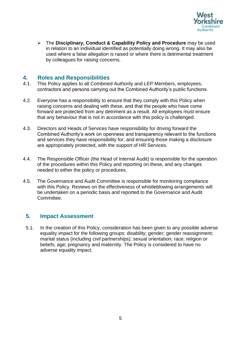

➢ The **Disciplinary, Conduct & Capability Policy and Procedure** may be used in relation to an individual identified as potentially doing wrong. It may also be used where a false allegation is raised or where there is detrimental treatment by colleagues for raising concerns.

#### <span id="page-5-0"></span> **4. Roles and Responsibilities**

- 4.1. This Policy applies to all Combined Authority and LEP Members, employees, contractors and persons carrying out the Combined Authority's public functions.
- 4.2. Everyone has a responsibility to ensure that they comply with this Policy when raising concerns and dealing with these, and that the people who have come forward are protected from any detriment as a result. All employees must ensure that any behaviour that is not in accordance with this policy is challenged.
- 4.3. Directors and Heads of Services have responsibility for driving forward the Combined Authority's work on openness and transparency relevant to the functions and services they have responsibility for, and ensuring those making a disclosure are appropriately protected, with the support of HR Services.
- 4.4. The Responsible Officer (the Head of Internal Audit) is responsible for the operation needed to either the policy or procedures. of the procedures within this Policy and reporting on these, and any changes
- 4.5. The Governance and Audit Committee is responsible for monitoring compliance be undertaken on a periodic basis and reported to the Governance and Audit with this Policy. Reviews on the effectiveness of whistleblowing arrangements will Committee.

#### <span id="page-5-1"></span>**5. Impact Assessment**

5.1. In the creation of this Policy, consideration has been given to any possible adverse equality impact for the following groups: disability; gender; gender reassignment; marital status (including civil partnerships); sexual orientation; race; religion or beliefs; age; pregnancy and maternity. The Policy is considered to have no adverse equality impact.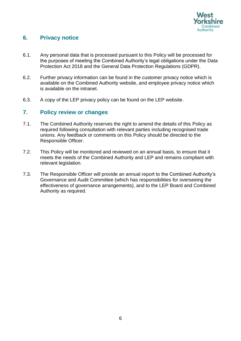

#### <span id="page-6-0"></span>**6. Privacy notice**

- the purposes of meeting the Combined Authority's legal obligations under the Data 6.1. Any personal data that is processed pursuant to this Policy will be processed for Protection Act 2018 and the General Data Protection Regulations (GDPR).
- 6.2. Further privacy information can be found in the customer privacy notice which is available on the Combined Authority website, and employee privacy notice which is available on the intranet.
- 6.3. A copy of the LEP privacy policy can be found on the LEP website.

#### <span id="page-6-1"></span>**7. Policy review or changes**

- 7.1. The Combined Authority reserves the right to amend the details of this Policy as required following consultation with relevant parties including recognised trade unions. Any feedback or comments on this Policy should be directed to the Responsible Officer.
- 7.2. This Policy will be monitored and reviewed on an annual basis, to ensure that it meets the needs of the Combined Authority and LEP and remains compliant with relevant legislation.
- effectiveness of governance arrangements), and to the LEP Board and Combined 7.3. The Responsible Officer will provide an annual report to the Combined Authority's Governance and Audit Committee (which has responsibilities for overseeing the Authority as required.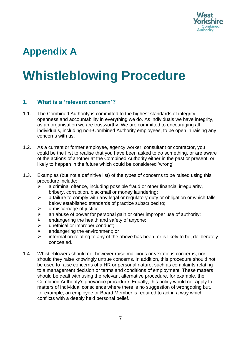

## **Appendix A**

# **Whistleblowing Procedure**

#### <span id="page-7-0"></span>**1. What is a 'relevant concern'?**

- 1.1. The Combined Authority is committed to the highest standards of integrity, openness and accountability in everything we do. As individuals we have integrity, as an organisation we are trustworthy. We are committed to encouraging all individuals, including non-Combined Authority employees, to be open in raising any concerns with us.
- of the actions of another at the Combined Authority either in the past or present, or 1.2. As a current or former employee, agency worker, consultant or contractor, you could be the first to realise that you have been asked to do something, or are aware likely to happen in the future which could be considered 'wrong'.
- 1.3. Examples (but not a definitive list) of the types of concerns to be raised using this procedure include:
	- $\triangleright$  a criminal offence, including possible fraud or other financial irregularity, bribery, corruption, blackmail or money laundering;
	- $\triangleright$  a failure to comply with any legal or regulatory duty or obligation or which falls below established standards of practice subscribed to;
	- $\triangleright$  a miscarriage of justice;
	- ighthrorporal mannitory an abuse of power for personal gain or other improper use of authority;<br>  $\triangleright$  endangering the health and safety of anyone;
	- $\ge$  endangering the health and safety of anyone;<br>  $\ge$  unethical or improper conduct:
	- unethical or improper conduct;
	- $\triangleright$  endangering the environment; or
	- $\triangleright$  information relating to any of the above has been, or is likely to be, deliberately concealed.
- to a management decision or terms and conditions of employment. These matters should be dealt with using the relevant alternative procedure, for example, the matters of individual conscience where there is no suggestion of wrongdoing but, 1.4. Whistleblowers should not however raise malicious or vexatious concerns, nor should they raise knowingly untrue concerns. In addition, this procedure should not be used to raise concerns of a HR or personal nature, such as complaints relating Combined Authority's grievance procedure. Equally, this policy would not apply to for example, an employee or Board Member is required to act in a way which conflicts with a deeply held personal belief.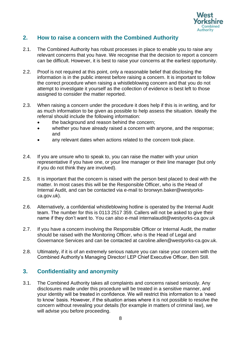

#### <span id="page-8-0"></span> **2. How to raise a concern with the Combined Authority**

- relevant concerns that you have. We recognise that the decision to report a concern 2.1. The Combined Authority has robust processes in place to enable you to raise any can be difficult. However, it is best to raise your concerns at the earliest opportunity.
- the correct procedure when raising a whistleblowing concern and that you do not 2.2. Proof is not required at this point, only a reasonable belief that disclosing the information is in the public interest before raising a concern. It is important to follow attempt to investigate it yourself as the collection of evidence is best left to those assigned to consider the matter reported.
- as much information to be given as possible to help assess the situation. Ideally the 2.3. When raising a concern under the procedure it does help if this is in writing, and for referral should include the following information:
	- the background and reason behind the concern;
	- and • whether you have already raised a concern with anyone, and the response;
	- any relevant dates when actions related to the concern took place.
- if you do not think they are involved). 2.4. If you are unsure who to speak to, you can raise the matter with your union representative if you have one, or your line manager or their line manager (but only
- 2.5. It is important that the concern is raised with the person best placed to deal with the matter. In most cases this will be the Responsible Officer, who is the Head of Internal Audit, and can be contacted via e-mail to [bronwyn.baker@westyorks](mailto:bronwyn.baker@westyorks)ca.gov.uk).
- team. The number for this is 0113 2517 359. Callers will not be asked to give their 2.6. Alternatively, a confidential whistleblowing hotline is operated by the Internal Audit name if they don't want to. You can also e-mail internalaudit@westyorks-ca.gov.uk
- 2.7. If you have a concern involving the Responsible Officer or Internal Audit, the matter should be raised with the Monitoring Officer, who is the Head of Legal and Governance Services and can be contacted at caroline.allen@westyorks-ca.gov.uk.
- 2.8. Ultimately, if it is of an extremely serious nature you can raise your concern with the Combined Authority's Managing Director/ LEP Chief Executive Officer, Ben Still.

#### <span id="page-8-1"></span>**3. Confidentiality and anonymity**

 your identity will be treated in confidence. We will restrict this information to a 'need 3.1. The Combined Authority takes all complaints and concerns raised seriously. Any disclosures made under this procedure will be treated in a sensitive manner, and to know' basis. However, if the situation arises where it is not possible to resolve the concern without revealing your details (for example in matters of criminal law), we will advise you before proceeding.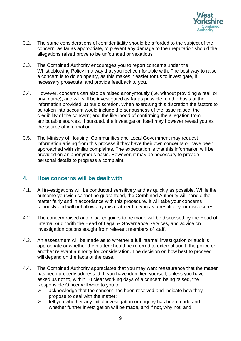

- allegations raised prove to be unfounded or vexatious. 3.2. The same considerations of confidentiality should be afforded to the subject of the concern, as far as appropriate, to prevent any damage to their reputation should the
- necessary prosecute, and provide feedback to you. 3.3. The Combined Authority encourages you to report concerns under the Whistleblowing Policy in a way that you feel comfortable with. The best way to raise a concern is to do so openly, as this makes it easier for us to investigate, if
- any, name), and will still be investigated as far as possible, on the basis of the 3.4. However, concerns can also be raised anonymously (i.e. without providing a real, or information provided, at our discretion. When exercising this discretion the factors to be taken into account would include the seriousness of the issue raised; the credibility of the concern; and the likelihood of confirming the allegation from attributable sources. If pursued, the investigation itself may however reveal you as the source of information.
- 3.5. The Ministry of Housing, Communities and Local Government may request information arising from this process if they have their own concerns or have been approached with similar complaints. The expectation is that this information will be provided on an anonymous basis. However, it may be necessary to provide personal details to progress a complaint.

#### <span id="page-9-0"></span> **4. How concerns will be dealt with**

- 4.1. All investigations will be conducted sensitively and as quickly as possible. While the outcome you wish cannot be guaranteed, the Combined Authority will handle the matter fairly and in accordance with this procedure. It will take your concerns seriously and will not allow any mistreatment of you as a result of your disclosures.
- 4.2. The concern raised and initial enquires to be made will be discussed by the Head of Internal Audit with the Head of Legal & Governance Services, and advice on investigation options sought from relevant members of staff.
- investigation options sought from relevant members of staff. 4.3. An assessment will be made as to whether a full internal investigation or audit is appropriate or whether the matter should be referred to external audit, the police or another relevant authority for consideration. The decision on how best to proceed will depend on the facts of the case.
- 4.4. The Combined Authority appreciates that you may want reassurance that the matter has been properly addressed. If you have identified yourself, unless you have asked us not to, within 10 clear working days of a concern being raised, the Responsible Officer will write to you to:
	- $\triangleright$  acknowledge that the concern has been received and indicate how they propose to deal with the matter;
	- ➢ tell you whether any initial investigation or enquiry has been made and whether further investigation will be made, and if not, why not; and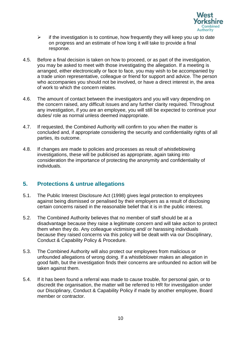

- $\triangleright$  if the investigation is to continue, how frequently they will keep you up to date on progress and an estimate of how long it will take to provide a final response.
- you may be asked to meet with those investigating the allegation. If a meeting is arranged, either electronically or face to face, you may wish to be accompanied by who accompanies you should not be involved, or have a direct interest in, the area 4.5. Before a final decision is taken on how to proceed, or as part of the investigation, a trade union representative, colleague or friend for support and advice. The person of work to which the concern relates.
- 4.6. The amount of contact between the investigators and you will vary depending on the concern raised, any difficult issues and any further clarity required. Throughout any investigation, if you are an employee, you will still be expected to continue your duties/ role as normal unless deemed inappropriate.
- 4.7. If requested, the Combined Authority will confirm to you when the matter is concluded and, if appropriate considering the security and confidentiality rights of all parties, its outcome.
- 4.8. If changes are made to policies and processes as result of whistleblowing investigations, these will be publicised as appropriate, again taking into consideration the importance of protecting the anonymity and confidentiality of individuals.

#### <span id="page-10-0"></span> **5. Protections & untrue allegations**

- 5.1. The Public Interest Disclosure Act (1998) gives legal protection to employees against being dismissed or penalised by their employers as a result of disclosing certain concerns raised in the reasonable belief that it is in the public interest.
- disadvantage because they raise a legitimate concern and will take action to protect 5.2. The Combined Authority believes that no member of staff should be at a them when they do. Any colleague victimising and/ or harassing individuals because they raised concerns via this policy will be dealt with via our Disciplinary, Conduct & Capability Policy & Procedure.
- unfounded allegations of wrong doing. If a whistleblower makes an allegation in 5.3. The Combined Authority will also protect our employees from malicious or good faith, but the investigation finds their concerns are unfounded no action will be taken against them.
- 5.4. If it has been found a referral was made to cause trouble, for personal gain, or to discredit the organisation, the matter will be referred to HR for investigation under our Disciplinary, Conduct & Capability Policy if made by another employee, Board member or contractor.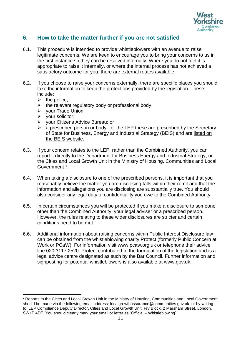

#### <span id="page-11-0"></span> **6. How to take the matter further if you are not satisfied**

- 6.1. This procedure is intended to provide whistleblowers with an avenue to raise the first instance so they can be resolved internally. Where you do not feel it is legitimate concerns. We are keen to encourage you to bring your concerns to us in appropriate to raise it internally, or where the internal process has not achieved a satisfactory outcome for you, there are external routes available.
- 6.2. If you choose to raise your concerns externally, there are specific places you should take the information to keep the protections provided by the legislation. These include:
	- $\triangleright$  the police;
	- $\triangleright$  the relevant regulatory body or professional body;
	- ➢ your Trade Union;
	- ➢ your solicitor;
	- ➢ your Citizens Advice Bureau; or
	- of State for Business, Energy and Industrial Strategy (BEIS) and are listed on  $\triangleright$  a prescribed person or body- for the LEP these are prescribed by the Secretary [the BEIS website.](https://www.gov.uk/government/publications/blowing-the-whistle-list-of-prescribed-people-and-bodies--2)
- 6.3. If your concern relates to the LEP, rather than the Combined Authority, you can report it directly to the Department for Business Energy and Industrial Strategy, or the Cities and Local Growth Unit in the Ministry of Housing, Communities and Local Government<sup>1</sup>.
- 6.4. When taking a disclosure to one of the prescribed persons, it is important that you reasonably believe the matter you are disclosing falls within their remit and that the information and allegations you are disclosing are substantially true. You should also consider any legal duty of confidentiality you owe to the Combined Authority.
- conditions need to be met. 6.5. In certain circumstances you will be protected if you make a disclosure to someone other than the Combined Authority, your legal adviser or a prescribed person. However, the rules relating to these wider disclosures are stricter and certain
- line 020 3117 2520. Protect contributed to the formulation of the legislation and is a 6.6. Additional information about raising concerns within Public Interest Disclosure law can be obtained from the whistleblowing charity Protect (formerly Public Concern at Work or PCaW). For information visit <www.pcaw.org.uk>or telephone their advice legal advice centre designated as such by the Bar Council. Further information and signposting for potential whistleblowers is also available at [www.gov.uk.](www.gov.uk)

<sup>&</sup>lt;sup>1</sup> Reports to the Cities and Local Growth Unit in the Ministry of Housing, Communities and Local Government should be made via the following email address: localgrowthassurance@communities.gov.uk, or by writing to: LEP Compliance Deputy Director, Cities and Local Growth Unit, Fry Block, 2 Marsham Street, London, SW1P 4DF. You should clearly mark your email or letter as "Official – Whistleblowing"